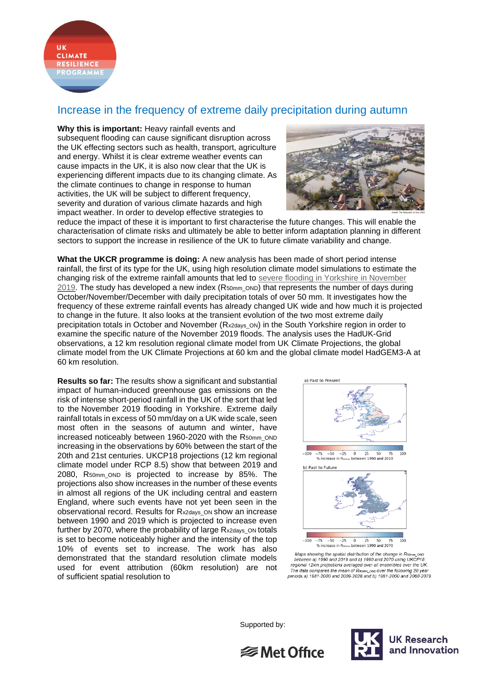

## Increase in the frequency of extreme daily precipitation during autumn

**Why this is important:** Heavy rainfall events and subsequent flooding can cause significant disruption across the UK effecting sectors such as health, transport, agriculture and energy. Whilst it is clear extreme weather events can cause impacts in the UK, it is also now clear that the UK is experiencing different impacts due to its changing climate. As the climate continues to change in response to human activities, the UK will be subject to different frequency, severity and duration of various climate hazards and high impact weather. In order to develop effective strategies to



reduce the impact of these it is important to first characterise the future changes. This will enable the characterisation of climate risks and ultimately be able to better inform adaptation planning in different sectors to support the increase in resilience of the UK to future climate variability and change.

**What the UKCR programme is doing:** A new analysis has been made of short period intense rainfall, the first of its type for the UK, using high resolution climate model simulations to estimate the changing risk of the extreme rainfall amounts that led to severe flooding in Yorkshire in November [2019.](https://www.metoffice.gov.uk/binaries/content/assets/metofficegovuk/pdf/weather/learn-about/uk-past-events/interesting/2019/2019_012_november_rain.pdf) The study has developed a new index (R50mm\_OND) that represents the number of days during October/November/December with daily precipitation totals of over 50 mm. It investigates how the frequency of these extreme rainfall events has already changed UK wide and how much it is projected to change in the future. It also looks at the transient evolution of the two most extreme daily precipitation totals in October and November (Rx2days\_ON) in the South Yorkshire region in order to examine the specific nature of the November 2019 floods. The analysis uses the HadUK-Grid observations, a 12 km resolution regional climate model from UK Climate Projections, the global climate model from the UK Climate Projections at 60 km and the global climate model HadGEM3-A at 60 km resolution.

**Results so far:** The results show a significant and substantial impact of human-induced greenhouse gas emissions on the risk of intense short-period rainfall in the UK of the sort that led to the November 2019 flooding in Yorkshire. Extreme daily rainfall totals in excess of 50 mm/day on a UK wide scale, seen most often in the seasons of autumn and winter, have increased noticeably between 1960-2020 with the R50mm\_OND increasing in the observations by 60% between the start of the 20th and 21st centuries. UKCP18 projections (12 km regional climate model under RCP 8.5) show that between 2019 and 2080, R50mm\_OND is projected to increase by 85%. The projections also show increases in the number of these events in almost all regions of the UK including central and eastern England, where such events have not yet been seen in the observational record. Results for R<sub>x2days</sub> on show an increase between 1990 and 2019 which is projected to increase even further by 2070, where the probability of large R<sub>x2days</sub> on totals is set to become noticeably higher and the intensity of the top 10% of events set to increase. The work has also demonstrated that the standard resolution climate models used for event attribution (60km resolution) are not of sufficient spatial resolution to



between a) 1990 and 2019 and b) 1990 and 2070 using UKCP18 regional 12km projections averaged over all ensembles over the UK.<br>The data compares the mean of Rsomm\_onp over the following 20 year periods a) 1981-2000 and 2009-2028 and b) 1981-2000 and 2060-2079

Supported by: